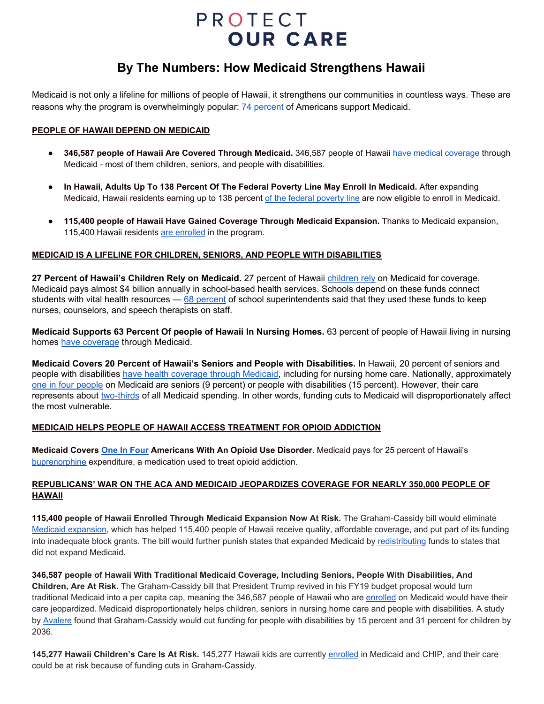## PROTECT **OUR CARE**

### **By The Numbers: How Medicaid Strengthens Hawaii**

Medicaid is not only a lifeline for millions of people of Hawaii, it strengthens our communities in countless ways. These are reasons why the program is overwhelmingly popular:  $\frac{74}{2}$  [percent](https://www.kff.org/health-reform/poll-finding/kaiser-health-tracking-poll-february-2018-health-care-2018-midterms-proposed-changes-to-medicaid/) of Americans support Medicaid.

#### **PEOPLE OF HAWAII DEPEND ON MEDICAID**

- **346,587 people of Hawaii Are Covered Through Medicaid.** 346,587 people of Hawaii have medical [coverage](https://www.kff.org/health-reform/state-indicator/total-monthly-medicaid-and-chip-enrollment/?currentTimeframe=0&sortModel=%7B%22colId%22:%22Location%22,%22sort%22:%22asc%22%7D) through Medicaid - most of them children, seniors, and people with disabilities.
- **In Hawaii, Adults Up To 138 Percent Of The Federal Poverty Line May Enroll In Medicaid.** After expanding Medicaid, Hawaii residents earning up to 138 percent of the federal [poverty](https://www.kff.org/health-reform/state-indicator/medicaid-income-eligibility-limits-for-adults-as-a-percent-of-the-federal-poverty-level/?currentTimeframe=0&sortModel=%7B%22colId%22:%22Location%22,%22sort%22:%22asc%22%7D) line are now eligible to enroll in Medicaid.
- **115,400 people of Hawaii Have Gained Coverage Through Medicaid Expansion.** Thanks to Medicaid expansion, 115,400 Hawaii residents are [enrolled](https://www.kff.org/health-reform/state-indicator/medicaid-expansion-enrollment/?currentTimeframe=0&sortModel=%7B%22colId%22:%22Location%22,%22sort%22:%22asc%22%7D) in the program.

#### **MEDICAID IS A LIFELINE FOR CHILDREN, SENIORS, AND PEOPLE WITH DISABILITIES**

**27 Percent of Hawaii's Children Rely on Medicaid.** 27 percent of Hawaii [children](https://www.kff.org/other/state-indicator/children-0-18/?currentTimeframe=0&sortModel=%7B%22colId%22:%22Location%22,%22sort%22:%22asc%22%7D) rely on Medicaid for coverage. Medicaid pays almost \$4 billion annually in school-based health services. Schools depend on these funds connect students with vital health resources — 68 [percent](https://www.cbpp.org/research/health/medicaid-helps-schools-help-children) of school superintendents said that they used these funds to keep nurses, counselors, and speech therapists on staff.

**Medicaid Supports 63 Percent Of people of Hawaii In Nursing Homes.** 63 percent of people of Hawaii living in nursing homes have [coverage](https://www.kff.org/infographic/medicaids-role-in-nursing-home-care/) through Medicaid.

**Medicaid Covers 20 Percent of Hawaii's Seniors and People with Disabilities.** In Hawaii, 20 percent of seniors and people with disabilities have health [coverage](https://www.cbpp.org/sites/default/files/atoms/files/3-22-17health-factsheets-hi.pdf) through Medicaid, including for nursing home care. Nationally, approximately one in four [people](http://kff.org/medicaid/fact-sheet/medicaid-pocket-primer/) on Medicaid are seniors (9 percent) or people with disabilities (15 percent). However, their care represents about [two-thirds](http://kff.org/medicaid/fact-sheet/medicaid-pocket-primer/) of all Medicaid spending. In other words, funding cuts to Medicaid will disproportionately affect the most vulnerable.

#### **MEDICAID HELPS PEOPLE OF HAWAII ACCESS TREATMENT FOR OPIOID ADDICTION**

**Medicaid Covers One In [Four](https://www.kff.org/infographic/medicaids-role-in-addressing-opioid-epidemic/) Americans With An Opioid Use Disorder**. Medicaid pays for 25 percent of Hawaii's [buprenorphine](https://www.kff.org/infographic/medicaids-role-in-addressing-opioid-epidemic/) expenditure, a medication used to treat opioid addiction.

#### **REPUBLICANS' WAR ON THE ACA AND MEDICAID JEOPARDIZES COVERAGE FOR NEARLY 350,000 PEOPLE OF HAWAII**

**115,400 people of Hawaii Enrolled Through Medicaid Expansion Now At Risk.** The Graham-Cassidy bill would eliminate Medicaid [expansion,](https://www.kff.org/health-reform/state-indicator/medicaid-expansion-enrollment/?currentTimeframe=0&sortModel=%7B%22colId%22:%22Location%22,%22sort%22:%22asc%22%7D) which has helped 115,400 people of Hawaii receive quality, affordable coverage, and put part of its funding into inadequate block grants. The bill would further punish states that expanded Medicaid by [redistributing](https://www.cbpp.org/research/health/like-other-aca-repeal-bills-cassidy-graham-plan-would-add-millions-to-uninsured#health9-13-17table1) funds to states that did not expand Medicaid.

**346,587 people of Hawaii With Traditional Medicaid Coverage, Including Seniors, People With Disabilities, And Children, Are At Risk.** The Graham-Cassidy bill that President Trump revived in his FY19 budget proposal would turn traditional Medicaid into a per capita cap, meaning the 346,587 people of Hawaii who are [enrolled](https://www.kff.org/health-reform/state-indicator/total-monthly-medicaid-and-chip-enrollment/?currentTimeframe=0&sortModel=%7B%22colId%22:%22Location%22,%22sort%22:%22asc%22%7D) on Medicaid would have their care jeopardized. Medicaid disproportionately helps children, seniors in nursing home care and people with disabilities. A study by [Avalere](http://avalere.com/expertise/life-sciences/insights/graham-cassidy-heller-johnson-bill-would-reduce-federal-funding-to-sta) found that Graham-Cassidy would cut funding for people with disabilities by 15 percent and 31 percent for children by 2036.

**145,277 Hawaii Children's Care Is At Risk.** 145,277 Hawaii kids are currently [enrolled](https://www.medicaid.gov/medicaid/program-information/medicaid-and-chip-enrollment-data/report-highlights/index.html) in Medicaid and CHIP, and their care could be at risk because of funding cuts in Graham-Cassidy.